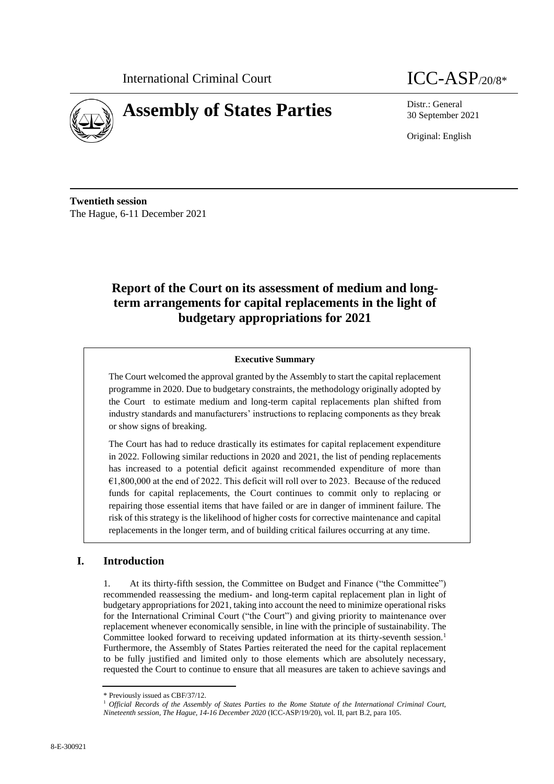



30 September 2021

Original: English

**Twentieth session** The Hague, 6-11 December 2021

# **Report of the Court on its assessment of medium and longterm arrangements for capital replacements in the light of budgetary appropriations for 2021**

#### **Executive Summary**

The Court welcomed the approval granted by the Assembly to start the capital replacement programme in 2020. Due to budgetary constraints, the methodology originally adopted by the Court to estimate medium and long-term capital replacements plan shifted from industry standards and manufacturers' instructions to replacing components as they break or show signs of breaking.

The Court has had to reduce drastically its estimates for capital replacement expenditure in 2022. Following similar reductions in 2020 and 2021, the list of pending replacements has increased to a potential deficit against recommended expenditure of more than  $€1,800,000$  at the end of 2022. This deficit will roll over to 2023. Because of the reduced funds for capital replacements, the Court continues to commit only to replacing or repairing those essential items that have failed or are in danger of imminent failure. The risk of this strategy is the likelihood of higher costs for corrective maintenance and capital replacements in the longer term, and of building critical failures occurring at any time.

### **I. Introduction**

1. At its thirty-fifth session, the Committee on Budget and Finance ("the Committee") recommended reassessing the medium- and long-term capital replacement plan in light of budgetary appropriations for 2021, taking into account the need to minimize operational risks for the International Criminal Court ("the Court") and giving priority to maintenance over replacement whenever economically sensible, in line with the principle of sustainability. The Committee looked forward to receiving updated information at its thirty-seventh session.<sup>1</sup> Furthermore, the Assembly of States Parties reiterated the need for the capital replacement to be fully justified and limited only to those elements which are absolutely necessary, requested the Court to continue to ensure that all measures are taken to achieve savings and

<sup>\*</sup> Previously issued as CBF/37/12.

<sup>1</sup> *Official Records of the Assembly of States Parties to the Rome Statute of the International Criminal Court, Nineteenth session, The Hague, 14-16 December 2020* (ICC-ASP/19/20), vol. II, part B.2, para 105.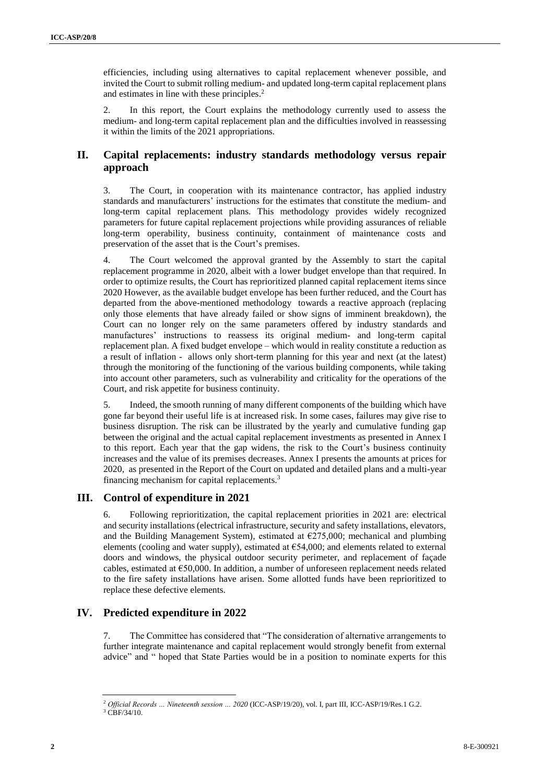efficiencies, including using alternatives to capital replacement whenever possible, and invited the Court to submit rolling medium- and updated long-term capital replacement plans and estimates in line with these principles. 2

2. In this report, the Court explains the methodology currently used to assess the medium- and long-term capital replacement plan and the difficulties involved in reassessing it within the limits of the 2021 appropriations.

### **II. Capital replacements: industry standards methodology versus repair approach**

3. The Court, in cooperation with its maintenance contractor, has applied industry standards and manufacturers' instructions for the estimates that constitute the medium- and long-term capital replacement plans. This methodology provides widely recognized parameters for future capital replacement projections while providing assurances of reliable long-term operability, business continuity, containment of maintenance costs and preservation of the asset that is the Court's premises.

4. The Court welcomed the approval granted by the Assembly to start the capital replacement programme in 2020, albeit with a lower budget envelope than that required. In order to optimize results, the Court has reprioritized planned capital replacement items since 2020 However, as the available budget envelope has been further reduced, and the Court has departed from the above-mentioned methodology towards a reactive approach (replacing only those elements that have already failed or show signs of imminent breakdown), the Court can no longer rely on the same parameters offered by industry standards and manufactures' instructions to reassess its original medium- and long-term capital replacement plan. A fixed budget envelope – which would in reality constitute a reduction as a result of inflation - allows only short-term planning for this year and next (at the latest) through the monitoring of the functioning of the various building components, while taking into account other parameters, such as vulnerability and criticality for the operations of the Court, and risk appetite for business continuity.

5. Indeed, the smooth running of many different components of the building which have gone far beyond their useful life is at increased risk. In some cases, failures may give rise to business disruption. The risk can be illustrated by the yearly and cumulative funding gap between the original and the actual capital replacement investments as presented in Annex I to this report. Each year that the gap widens, the risk to the Court's business continuity increases and the value of its premises decreases. Annex I presents the amounts at prices for 2020, as presented in the Report of the Court on updated and detailed plans and a multi-year financing mechanism for capital replacements.<sup>3</sup>

### **III. Control of expenditure in 2021**

6. Following reprioritization, the capital replacement priorities in 2021 are: electrical and security installations (electrical infrastructure, security and safety installations, elevators, and the Building Management System), estimated at  $\epsilon$ 275,000; mechanical and plumbing elements (cooling and water supply), estimated at  $654,000$ ; and elements related to external doors and windows, the physical outdoor security perimeter, and replacement of façade cables, estimated at  $\epsilon$ 50,000. In addition, a number of unforeseen replacement needs related to the fire safety installations have arisen. Some allotted funds have been reprioritized to replace these defective elements.

## **IV. Predicted expenditure in 2022**

7. The Committee has considered that "The consideration of alternative arrangements to further integrate maintenance and capital replacement would strongly benefit from external advice" and " hoped that State Parties would be in a position to nominate experts for this

<sup>2</sup> *Official Records … Nineteenth session … 2020* (ICC-ASP/19/20), vol. I, part III, ICC-ASP/19/Res.1 G.2.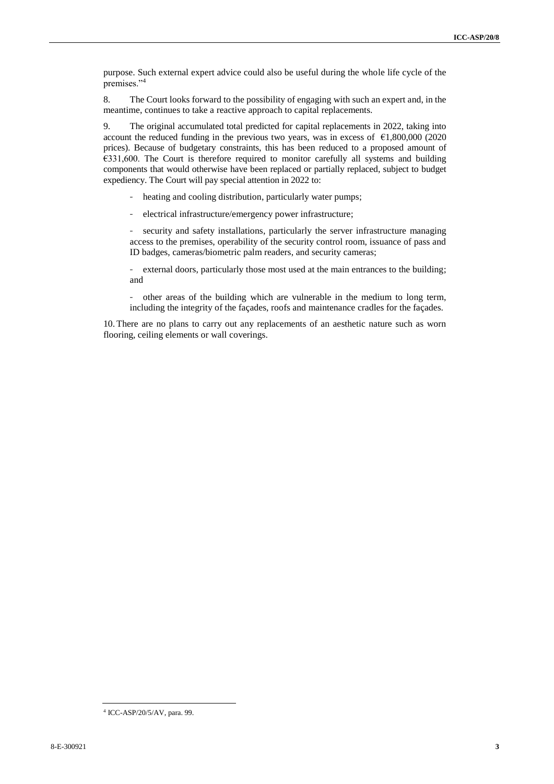purpose. Such external expert advice could also be useful during the whole life cycle of the premises."<sup>4</sup>

8. The Court looks forward to the possibility of engaging with such an expert and, in the meantime, continues to take a reactive approach to capital replacements.

9. The original accumulated total predicted for capital replacements in 2022, taking into account the reduced funding in the previous two years, was in excess of  $\epsilon$ 1,800,000 (2020 prices). Because of budgetary constraints, this has been reduced to a proposed amount of €331,600. The Court is therefore required to monitor carefully all systems and building components that would otherwise have been replaced or partially replaced, subject to budget expediency. The Court will pay special attention in 2022 to:

- heating and cooling distribution, particularly water pumps;

- electrical infrastructure/emergency power infrastructure;

- security and safety installations, particularly the server infrastructure managing access to the premises, operability of the security control room, issuance of pass and ID badges, cameras/biometric palm readers, and security cameras;

- external doors, particularly those most used at the main entrances to the building; and

other areas of the building which are vulnerable in the medium to long term, including the integrity of the façades, roofs and maintenance cradles for the façades.

10. There are no plans to carry out any replacements of an aesthetic nature such as worn flooring, ceiling elements or wall coverings.

<sup>4</sup> ICC-ASP/20/5/AV, para. 99.